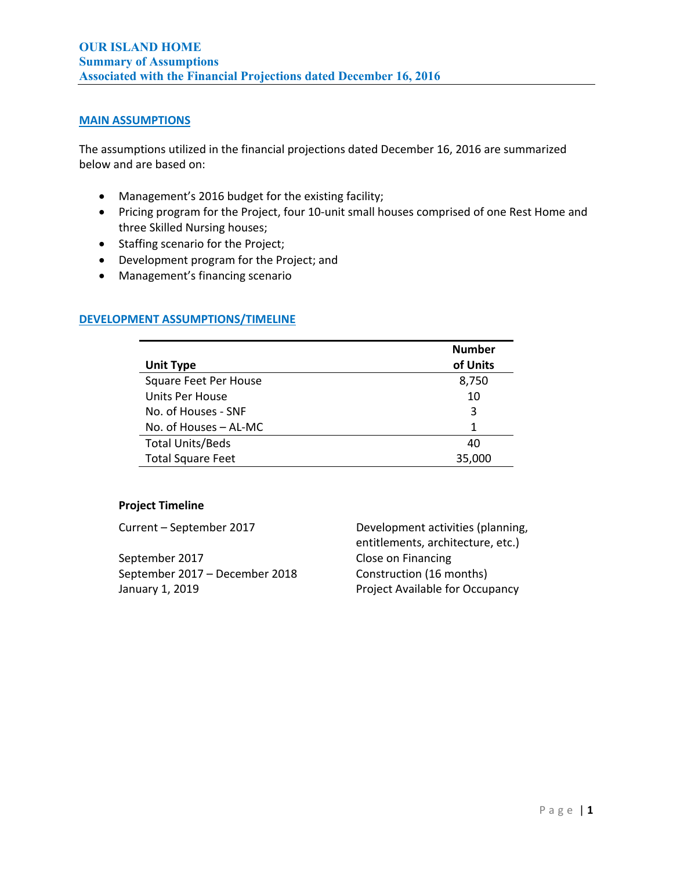# **MAIN ASSUMPTIONS**

The assumptions utilized in the financial projections dated December 16, 2016 are summarized below and are based on:

- Management's 2016 budget for the existing facility;
- Pricing program for the Project, four 10-unit small houses comprised of one Rest Home and three Skilled Nursing houses;
- Staffing scenario for the Project;
- Development program for the Project; and
- Management's financing scenario

# **DEVELOPMENT ASSUMPTIONS/TIMELINE**

|                          | <b>Number</b> |
|--------------------------|---------------|
| <b>Unit Type</b>         | of Units      |
| Square Feet Per House    | 8,750         |
| <b>Units Per House</b>   | 10            |
| No. of Houses - SNF      | 3             |
| No. of Houses - AL-MC    | 1             |
| <b>Total Units/Beds</b>  | 40            |
| <b>Total Square Feet</b> | 35,000        |

# **Project Timeline**

September 2017 Close on Financing September 2017 – December 2018 Construction (16 months) January 1, 2019 Project Available for Occupancy

Current – September 2017 Development activities (planning, entitlements, architecture, etc.)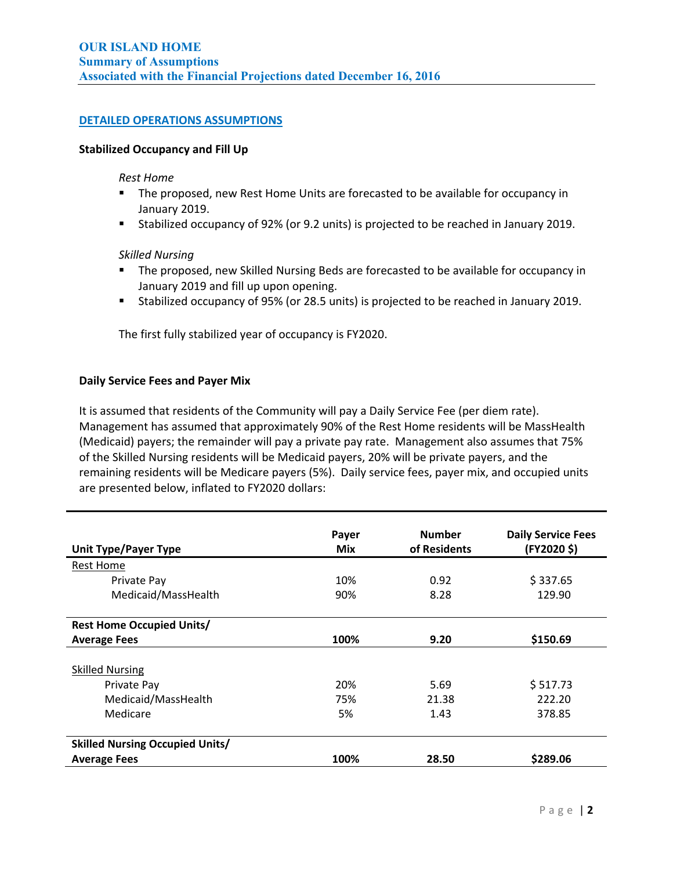# **DETAILED OPERATIONS ASSUMPTIONS**

### **Stabilized Occupancy and Fill Up**

#### *Rest Home*

- The proposed, new Rest Home Units are forecasted to be available for occupancy in January 2019.
- Stabilized occupancy of 92% (or 9.2 units) is projected to be reached in January 2019.

#### *Skilled Nursing*

- **The proposed, new Skilled Nursing Beds are forecasted to be available for occupancy in** January 2019 and fill up upon opening.
- Stabilized occupancy of 95% (or 28.5 units) is projected to be reached in January 2019.

The first fully stabilized year of occupancy is FY2020.

### **Daily Service Fees and Payer Mix**

It is assumed that residents of the Community will pay a Daily Service Fee (per diem rate). Management has assumed that approximately 90% of the Rest Home residents will be MassHealth (Medicaid) payers; the remainder will pay a private pay rate. Management also assumes that 75% of the Skilled Nursing residents will be Medicaid payers, 20% will be private payers, and the remaining residents will be Medicare payers (5%). Daily service fees, payer mix, and occupied units are presented below, inflated to FY2020 dollars:

|                                        | Payer | <b>Number</b> | <b>Daily Service Fees</b> |
|----------------------------------------|-------|---------------|---------------------------|
| <b>Unit Type/Payer Type</b>            | Mix   | of Residents  | (FY2020 \$)               |
| Rest Home                              |       |               |                           |
| Private Pay                            | 10%   | 0.92          | \$337.65                  |
| Medicaid/MassHealth                    | 90%   | 8.28          | 129.90                    |
|                                        |       |               |                           |
| <b>Rest Home Occupied Units/</b>       |       |               |                           |
| <b>Average Fees</b>                    | 100%  | 9.20          | \$150.69                  |
|                                        |       |               |                           |
| <b>Skilled Nursing</b>                 |       |               |                           |
| Private Pay                            | 20%   | 5.69          | \$517.73                  |
| Medicaid/MassHealth                    | 75%   | 21.38         | 222.20                    |
| Medicare                               | 5%    | 1.43          | 378.85                    |
|                                        |       |               |                           |
| <b>Skilled Nursing Occupied Units/</b> |       |               |                           |
| <b>Average Fees</b>                    | 100%  | 28.50         | \$289.06                  |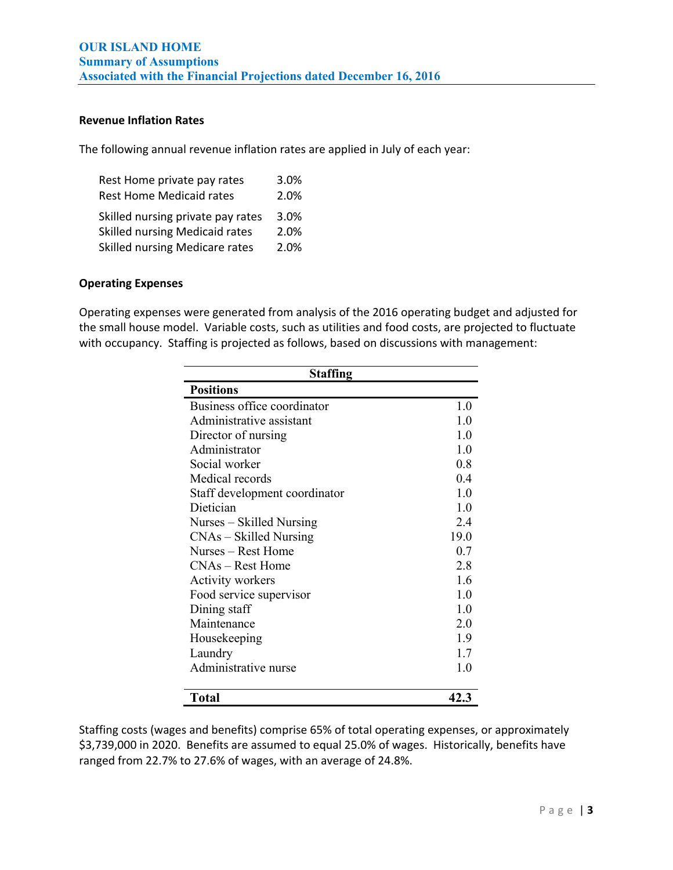# **Revenue Inflation Rates**

The following annual revenue inflation rates are applied in July of each year:

| Rest Home private pay rates           | 3.0% |
|---------------------------------------|------|
| <b>Rest Home Medicaid rates</b>       | 2.0% |
| Skilled nursing private pay rates     | 3.0% |
| <b>Skilled nursing Medicaid rates</b> | 2.0% |
| Skilled nursing Medicare rates        | 2.0% |

# **Operating Expenses**

Operating expenses were generated from analysis of the 2016 operating budget and adjusted for the small house model. Variable costs, such as utilities and food costs, are projected to fluctuate with occupancy. Staffing is projected as follows, based on discussions with management:

| <b>Staffing</b>               |      |  |
|-------------------------------|------|--|
| <b>Positions</b>              |      |  |
| Business office coordinator   | 1.0  |  |
| Administrative assistant      | 1.0  |  |
| Director of nursing           | 1.0  |  |
| Administrator                 | 1.0  |  |
| Social worker                 | 0.8  |  |
| Medical records               | 0.4  |  |
| Staff development coordinator | 1.0  |  |
| Dietician                     | 1.0  |  |
| Nurses – Skilled Nursing      | 2.4  |  |
| $CNAs - Skilled Nursing$      | 19.0 |  |
| Nurses – Rest Home            | 0.7  |  |
| $CNAs - Rest$ Home            | 2.8  |  |
| Activity workers              | 1.6  |  |
| Food service supervisor       | 1.0  |  |
| Dining staff                  | 1.0  |  |
| Maintenance                   | 2.0  |  |
| Housekeeping                  | 1.9  |  |
| Laundry                       | 1.7  |  |
| Administrative nurse          | 1.0  |  |
| <b>Total</b>                  | 42.3 |  |

Staffing costs (wages and benefits) comprise 65% of total operating expenses, or approximately \$3,739,000 in 2020. Benefits are assumed to equal 25.0% of wages. Historically, benefits have ranged from 22.7% to 27.6% of wages, with an average of 24.8%.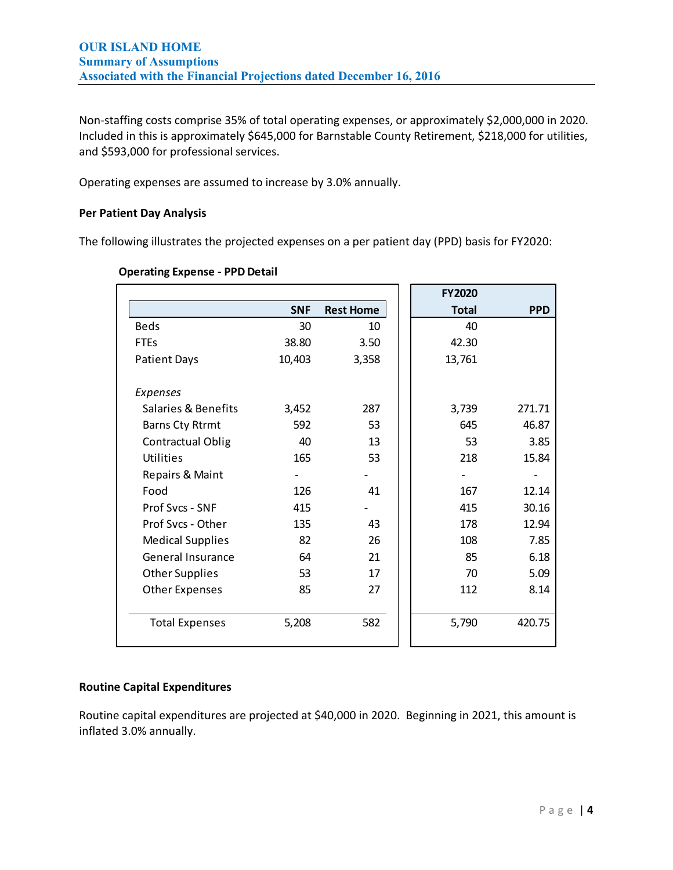Non‐staffing costs comprise 35% of total operating expenses, or approximately \$2,000,000 in 2020. Included in this is approximately \$645,000 for Barnstable County Retirement, \$218,000 for utilities, and \$593,000 for professional services.

Operating expenses are assumed to increase by 3.0% annually.

# **Per Patient Day Analysis**

The following illustrates the projected expenses on a per patient day (PPD) basis for FY2020:

| <b>Operating Expense - PPD Detail</b> |  |  |  |
|---------------------------------------|--|--|--|
|---------------------------------------|--|--|--|

|                          |            |                  | <b>FY2020</b> |            |
|--------------------------|------------|------------------|---------------|------------|
|                          | <b>SNF</b> | <b>Rest Home</b> | <b>Total</b>  | <b>PPD</b> |
| <b>Beds</b>              | 30         | 10               | 40            |            |
| <b>FTEs</b>              | 38.80      | 3.50             | 42.30         |            |
| <b>Patient Days</b>      | 10,403     | 3,358            | 13,761        |            |
|                          |            |                  |               |            |
| Expenses                 |            |                  |               |            |
| Salaries & Benefits      | 3,452      | 287              | 3,739         | 271.71     |
| <b>Barns Cty Rtrmt</b>   | 592        | 53               | 645           | 46.87      |
| <b>Contractual Oblig</b> | 40         | 13               | 53            | 3.85       |
| <b>Utilities</b>         | 165        | 53               | 218           | 15.84      |
| Repairs & Maint          |            |                  |               |            |
| Food                     | 126        | 41               | 167           | 12.14      |
| Prof Svcs - SNF          | 415        |                  | 415           | 30.16      |
| Prof Svcs - Other        | 135        | 43               | 178           | 12.94      |
| <b>Medical Supplies</b>  | 82         | 26               | 108           | 7.85       |
| <b>General Insurance</b> | 64         | 21               | 85            | 6.18       |
| <b>Other Supplies</b>    | 53         | 17               | 70            | 5.09       |
| <b>Other Expenses</b>    | 85         | 27               | 112           | 8.14       |
|                          |            |                  |               |            |
| <b>Total Expenses</b>    | 5,208      | 582              | 5,790         | 420.75     |
|                          |            |                  |               |            |

# **Routine Capital Expenditures**

Routine capital expenditures are projected at \$40,000 in 2020. Beginning in 2021, this amount is inflated 3.0% annually.